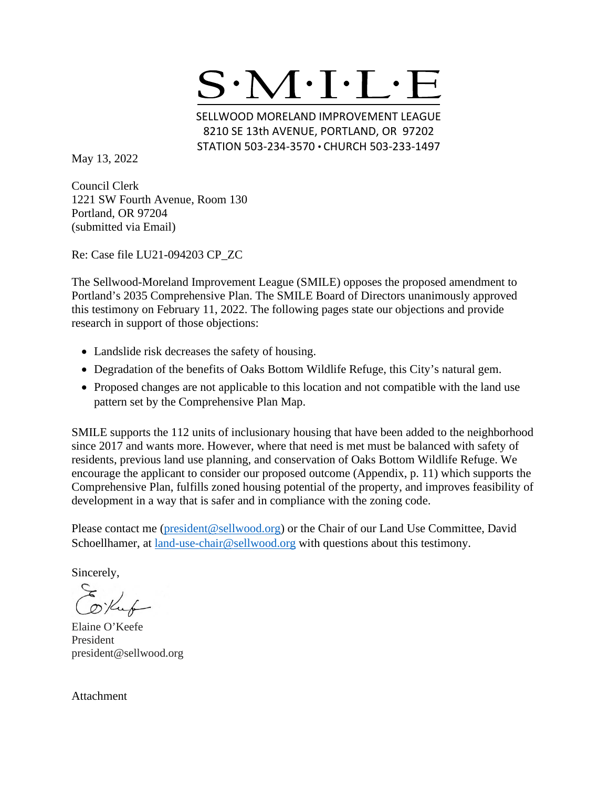

SELLWOOD MORELAND IMPROVEMENT LEAGUE 8210 SE 13th AVENUE, PORTLAND, OR 97202 STATION 503-234-3570 · CHURCH 503-233-1497

May 13, 2022

Council Clerk 1221 SW Fourth Avenue, Room 130 Portland, OR 97204 (submitted via Email)

Re: Case file LU21-094203 CP\_ZC

The Sellwood-Moreland Improvement League (SMILE) opposes the proposed amendment to Portland's 2035 Comprehensive Plan. The SMILE Board of Directors unanimously approved this testimony on February 11, 2022. The following pages state our objections and provide research in support of those objections:

- Landslide risk decreases the safety of housing.
- Degradation of the benefits of Oaks Bottom Wildlife Refuge, this City's natural gem.
- Proposed changes are not applicable to this location and not compatible with the land use pattern set by the Comprehensive Plan Map.

SMILE supports the 112 units of inclusionary housing that have been added to the neighborhood since 2017 and wants more. However, where that need is met must be balanced with safety of residents, previous land use planning, and conservation of Oaks Bottom Wildlife Refuge. We encourage the applicant to consider our proposed outcome (Appendix, p. 11) which supports the Comprehensive Plan, fulfills zoned housing potential of the property, and improves feasibility of development in a way that is safer and in compliance with the zoning code.

Please contact me [\(president@sellwood.org\)](mailto:president@sellwood.org) or the Chair of our Land Use Committee, David Schoellhamer, at [land-use-chair@sellwood.org](mailto:chair.landuse.smile@gmail.com) with questions about this testimony.

Sincerely,

Elaine O'Keefe President president@sellwood.org

Attachment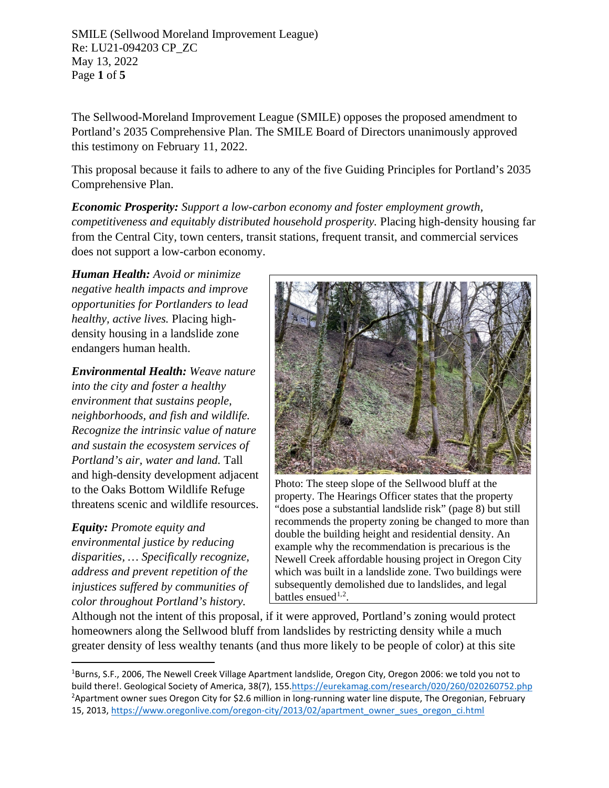SMILE (Sellwood Moreland Improvement League) Re: LU21-094203 CP\_ZC May 13, 2022 Page **1** of **5**

The Sellwood-Moreland Improvement League (SMILE) opposes the proposed amendment to Portland's 2035 Comprehensive Plan. The SMILE Board of Directors unanimously approved this testimony on February 11, 2022.

This proposal because it fails to adhere to any of the five Guiding Principles for Portland's 2035 Comprehensive Plan.

*Economic Prosperity: Support a low-carbon economy and foster employment growth, competitiveness and equitably distributed household prosperity.* Placing high-density housing far from the Central City, town centers, transit stations, frequent transit, and commercial services does not support a low-carbon economy.

*Human Health: Avoid or minimize negative health impacts and improve opportunities for Portlanders to lead healthy, active lives.* Placing highdensity housing in a landslide zone endangers human health.

*Environmental Health: Weave nature into the city and foster a healthy environment that sustains people, neighborhoods, and fish and wildlife. Recognize the intrinsic value of nature and sustain the ecosystem services of Portland's air, water and land.* Tall and high-density development adjacent to the Oaks Bottom Wildlife Refuge threatens scenic and wildlife resources.

*Equity: Promote equity and environmental justice by reducing disparities, … Specifically recognize, address and prevent repetition of the injustices suffered by communities of color throughout Portland's history.*



Photo: The steep slope of the Sellwood bluff at the property. The Hearings Officer states that the property "does pose a substantial landslide risk" (page 8) but still recommends the property zoning be changed to more than double the building height and residential density. An example why the recommendation is precarious is the Newell Creek affordable housing project in Oregon City which was built in a landslide zone. Two buildings were subsequently demolished due to landslides, and legal battles ensued<sup>[1](#page-1-0),[2](#page-1-1)</sup>.

Although not the intent of this proposal, if it were approved, Portland's zoning would protect homeowners along the Sellwood bluff from landslides by restricting density while a much greater density of less wealthy tenants (and thus more likely to be people of color) at this site

<span id="page-1-1"></span><span id="page-1-0"></span><sup>1</sup> Burns, S.F., 2006, The Newell Creek Village Apartment landslide, Oregon City, Oregon 2006: we told you not to build there!. Geological Society of America, 38(7), 15[5.https://eurekamag.com/research/020/260/020260752.php](https://eurekamag.com/research/020/260/020260752.php) <sup>2</sup>Apartment owner sues Oregon City for \$2.6 million in long-running water line dispute, The Oregonian, February 15, 2013, [https://www.oregonlive.com/oregon-city/2013/02/apartment\\_owner\\_sues\\_oregon\\_ci.html](https://www.oregonlive.com/oregon-city/2013/02/apartment_owner_sues_oregon_ci.html)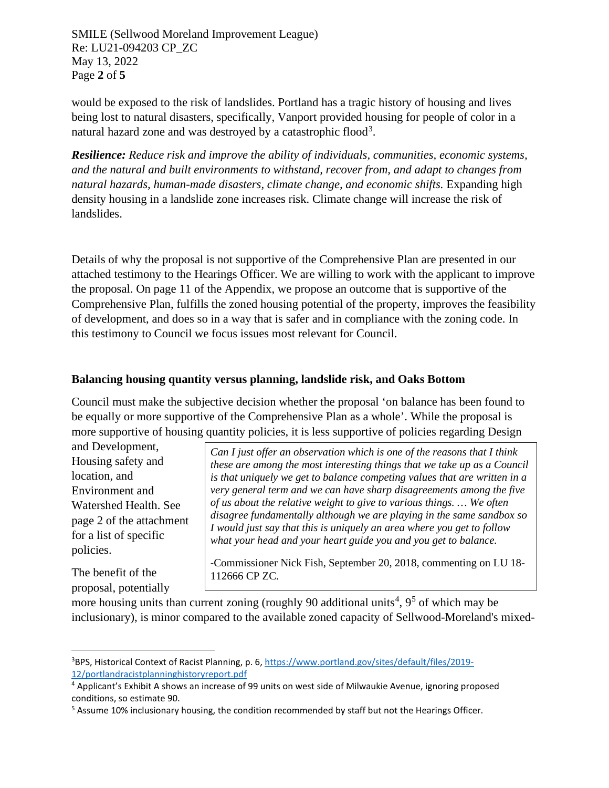SMILE (Sellwood Moreland Improvement League) Re: LU21-094203 CP\_ZC May 13, 2022 Page **2** of **5**

would be exposed to the risk of landslides. Portland has a tragic history of housing and lives being lost to natural disasters, specifically, Vanport provided housing for people of color in a natural hazard zone and was destroyed by a catastrophic flood<sup>[3](#page-2-0)</sup>.

*Resilience: Reduce risk and improve the ability of individuals, communities, economic systems, and the natural and built environments to withstand, recover from, and adapt to changes from natural hazards, human-made disasters, climate change, and economic shifts.* Expanding high density housing in a landslide zone increases risk. Climate change will increase the risk of landslides.

Details of why the proposal is not supportive of the Comprehensive Plan are presented in our attached testimony to the Hearings Officer. We are willing to work with the applicant to improve the proposal. On page 11 of the Appendix, we propose an outcome that is supportive of the Comprehensive Plan, fulfills the zoned housing potential of the property, improves the feasibility of development, and does so in a way that is safer and in compliance with the zoning code. In this testimony to Council we focus issues most relevant for Council.

#### **Balancing housing quantity versus planning, landslide risk, and Oaks Bottom**

Council must make the subjective decision whether the proposal 'on balance has been found to be equally or more supportive of the Comprehensive Plan as a whole'. While the proposal is more supportive of housing quantity policies, it is less supportive of policies regarding Design

and Development, Housing safety and location, and Environment and Watershed Health. See page 2 of the attachment for a list of specific policies.

The benefit of the proposal, potentially

*Can I just offer an observation which is one of the reasons that I think these are among the most interesting things that we take up as a Council is that uniquely we get to balance competing values that are written in a very general term and we can have sharp disagreements among the five of us about the relative weight to give to various things. … We often disagree fundamentally although we are playing in the same sandbox so I would just say that this is uniquely an area where you get to follow what your head and your heart guide you and you get to balance.*

-Commissioner Nick Fish, September 20, 2018, commenting on LU 18- 112666 CP ZC.

more housing units than current zoning (roughly 90 additional units<sup>[4](#page-2-1)</sup>,  $9<sup>5</sup>$  $9<sup>5</sup>$  $9<sup>5</sup>$  of which may be inclusionary), is minor compared to the available zoned capacity of Sellwood-Moreland's mixed-

<span id="page-2-0"></span><sup>&</sup>lt;sup>3</sup>BPS, Historical Context of Racist Planning, p. 6, [https://www.portland.gov/sites/default/files/2019-](https://www.portland.gov/sites/default/files/2019-12/portlandracistplanninghistoryreport.pdf) [12/portlandracistplanninghistoryreport.pdf](https://www.portland.gov/sites/default/files/2019-12/portlandracistplanninghistoryreport.pdf)

<span id="page-2-1"></span><sup>4</sup> Applicant's Exhibit A shows an increase of 99 units on west side of Milwaukie Avenue, ignoring proposed conditions, so estimate 90.

<span id="page-2-2"></span><sup>&</sup>lt;sup>5</sup> Assume 10% inclusionary housing, the condition recommended by staff but not the Hearings Officer.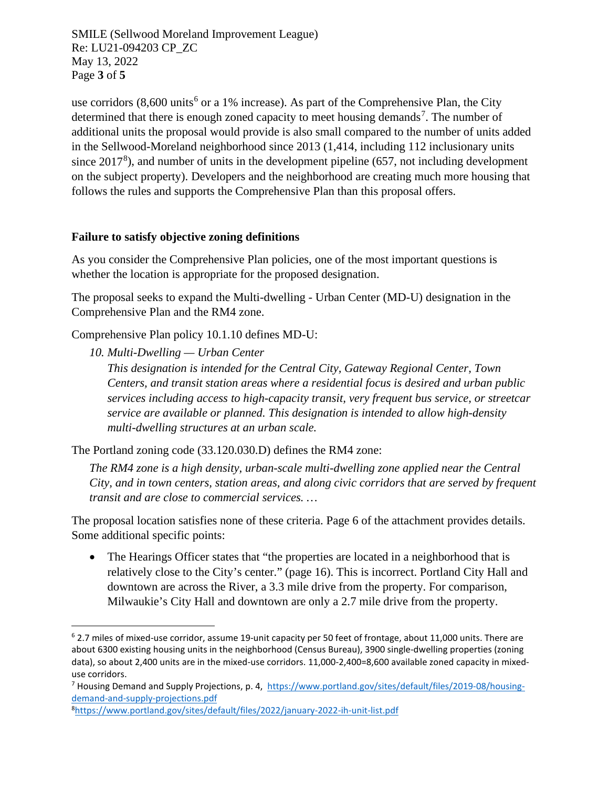SMILE (Sellwood Moreland Improvement League) Re: LU21-094203 CP\_ZC May 13, 2022 Page **3** of **5**

use corridors  $(8,600 \text{ units}^6 \text{ or a } 1\% \text{ increase})$  $(8,600 \text{ units}^6 \text{ or a } 1\% \text{ increase})$  $(8,600 \text{ units}^6 \text{ or a } 1\% \text{ increase})$ . As part of the Comprehensive Plan, the City determined that there is enough zoned capacity to meet housing demands<sup>[7](#page-3-1)</sup>. The number of additional units the proposal would provide is also small compared to the number of units added in the Sellwood-Moreland neighborhood since 2013 (1,414, including 112 inclusionary units since  $2017<sup>8</sup>$  $2017<sup>8</sup>$  $2017<sup>8</sup>$ ), and number of units in the development pipeline (657, not including development on the subject property). Developers and the neighborhood are creating much more housing that follows the rules and supports the Comprehensive Plan than this proposal offers.

#### **Failure to satisfy objective zoning definitions**

As you consider the Comprehensive Plan policies, one of the most important questions is whether the location is appropriate for the proposed designation.

The proposal seeks to expand the Multi-dwelling - Urban Center (MD-U) designation in the Comprehensive Plan and the RM4 zone.

Comprehensive Plan policy 10.1.10 defines MD-U:

*10. Multi-Dwelling — Urban Center*

*This designation is intended for the Central City, Gateway Regional Center, Town Centers, and transit station areas where a residential focus is desired and urban public services including access to high-capacity transit, very frequent bus service, or streetcar service are available or planned. This designation is intended to allow high-density multi-dwelling structures at an urban scale.*

The Portland zoning code (33.120.030.D) defines the RM4 zone:

*The RM4 zone is a high density, urban-scale multi-dwelling zone applied near the Central City, and in town centers, station areas, and along civic corridors that are served by frequent transit and are close to commercial services. …*

The proposal location satisfies none of these criteria. Page 6 of the attachment provides details. Some additional specific points:

• The Hearings Officer states that "the properties are located in a neighborhood that is relatively close to the City's center." (page 16). This is incorrect. Portland City Hall and downtown are across the River, a 3.3 mile drive from the property. For comparison, Milwaukie's City Hall and downtown are only a 2.7 mile drive from the property.

<span id="page-3-0"></span> $6$  2.7 miles of mixed-use corridor, assume 19-unit capacity per 50 feet of frontage, about 11,000 units. There are about 6300 existing housing units in the neighborhood (Census Bureau), 3900 single-dwelling properties (zoning data), so about 2,400 units are in the mixed-use corridors. 11,000-2,400=8,600 available zoned capacity in mixeduse corridors.

<span id="page-3-1"></span><sup>7</sup> Housing Demand and Supply Projections, p. 4, [https://www.portland.gov/sites/default/files/2019-08/housing](https://www.portland.gov/sites/default/files/2019-08/housing-demand-and-supply-projections.pdf)[demand-and-supply-projections.pdf](https://www.portland.gov/sites/default/files/2019-08/housing-demand-and-supply-projections.pdf)

<span id="page-3-2"></span><sup>8</sup> <https://www.portland.gov/sites/default/files/2022/january-2022-ih-unit-list.pdf>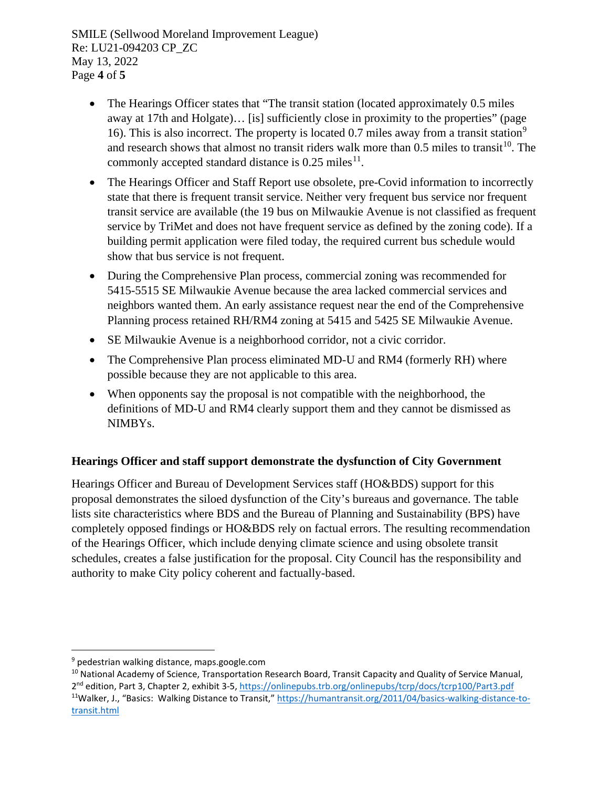SMILE (Sellwood Moreland Improvement League) Re: LU21-094203 CP\_ZC May 13, 2022 Page **4** of **5**

- The Hearings Officer states that "The transit station (located approximately 0.5 miles away at 17th and Holgate)… [is] sufficiently close in proximity to the properties" (page 16). This is also incorrect. The property is located 0.7 miles away from a transit station<sup>[9](#page-4-0)</sup> and research shows that almost no transit riders walk more than  $0.5$  miles to transit<sup>[10](#page-4-1)</sup>. The commonly accepted standard distance is  $0.25$  miles<sup>[11](#page-4-2)</sup>.
- The Hearings Officer and Staff Report use obsolete, pre-Covid information to incorrectly state that there is frequent transit service. Neither very frequent bus service nor frequent transit service are available (the 19 bus on Milwaukie Avenue is not classified as frequent service by TriMet and does not have frequent service as defined by the zoning code). If a building permit application were filed today, the required current bus schedule would show that bus service is not frequent.
- During the Comprehensive Plan process, commercial zoning was recommended for 5415-5515 SE Milwaukie Avenue because the area lacked commercial services and neighbors wanted them. An early assistance request near the end of the Comprehensive Planning process retained RH/RM4 zoning at 5415 and 5425 SE Milwaukie Avenue.
- SE Milwaukie Avenue is a neighborhood corridor, not a civic corridor.
- The Comprehensive Plan process eliminated MD-U and RM4 (formerly RH) where possible because they are not applicable to this area.
- When opponents say the proposal is not compatible with the neighborhood, the definitions of MD-U and RM4 clearly support them and they cannot be dismissed as NIMBYs.

## **Hearings Officer and staff support demonstrate the dysfunction of City Government**

Hearings Officer and Bureau of Development Services staff (HO&BDS) support for this proposal demonstrates the siloed dysfunction of the City's bureaus and governance. The table lists site characteristics where BDS and the Bureau of Planning and Sustainability (BPS) have completely opposed findings or HO&BDS rely on factual errors. The resulting recommendation of the Hearings Officer, which include denying climate science and using obsolete transit schedules, creates a false justification for the proposal. City Council has the responsibility and authority to make City policy coherent and factually-based.

<span id="page-4-0"></span><sup>9</sup> pedestrian walking distance, maps.google.com

<span id="page-4-2"></span><span id="page-4-1"></span><sup>&</sup>lt;sup>10</sup> National Academy of Science, Transportation Research Board, Transit Capacity and Quality of Service Manual, 2nd edition, Part 3, Chapter 2, exhibit 3-5,<https://onlinepubs.trb.org/onlinepubs/tcrp/docs/tcrp100/Part3.pdf> 11Walker, J., "Basics: Walking Distance to Transit," [https://humantransit.org/2011/04/basics-walking-distance-to](https://humantransit.org/2011/04/basics-walking-distance-to-transit.html)[transit.html](https://humantransit.org/2011/04/basics-walking-distance-to-transit.html)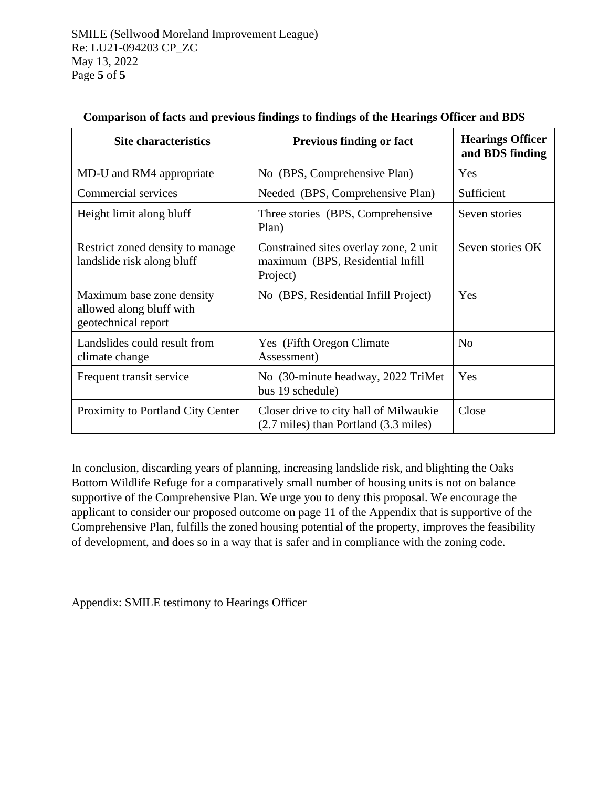| <b>Site characteristics</b>                                                  | <b>Previous finding or fact</b>                                                         | <b>Hearings Officer</b><br>and BDS finding |
|------------------------------------------------------------------------------|-----------------------------------------------------------------------------------------|--------------------------------------------|
| MD-U and RM4 appropriate                                                     | No (BPS, Comprehensive Plan)                                                            | Yes                                        |
| Commercial services                                                          | Needed (BPS, Comprehensive Plan)                                                        | Sufficient                                 |
| Height limit along bluff                                                     | Three stories (BPS, Comprehensive<br>Plan)                                              | Seven stories                              |
| Restrict zoned density to manage<br>landslide risk along bluff               | Constrained sites overlay zone, 2 unit<br>maximum (BPS, Residential Infill)<br>Project) | Seven stories OK                           |
| Maximum base zone density<br>allowed along bluff with<br>geotechnical report | No (BPS, Residential Infill Project)                                                    | Yes                                        |
| Landslides could result from<br>climate change                               | Yes (Fifth Oregon Climate)<br>Assessment)                                               | N <sub>o</sub>                             |
| Frequent transit service                                                     | No (30-minute headway, 2022 TriMet<br>bus 19 schedule)                                  | Yes                                        |
| Proximity to Portland City Center                                            | Closer drive to city hall of Milwaukie<br>(2.7 miles) than Portland (3.3 miles)         | Close                                      |

#### **Comparison of facts and previous findings to findings of the Hearings Officer and BDS**

In conclusion, discarding years of planning, increasing landslide risk, and blighting the Oaks Bottom Wildlife Refuge for a comparatively small number of housing units is not on balance supportive of the Comprehensive Plan. We urge you to deny this proposal. We encourage the applicant to consider our proposed outcome on page 11 of the Appendix that is supportive of the Comprehensive Plan, fulfills the zoned housing potential of the property, improves the feasibility of development, and does so in a way that is safer and in compliance with the zoning code.

Appendix: SMILE testimony to Hearings Officer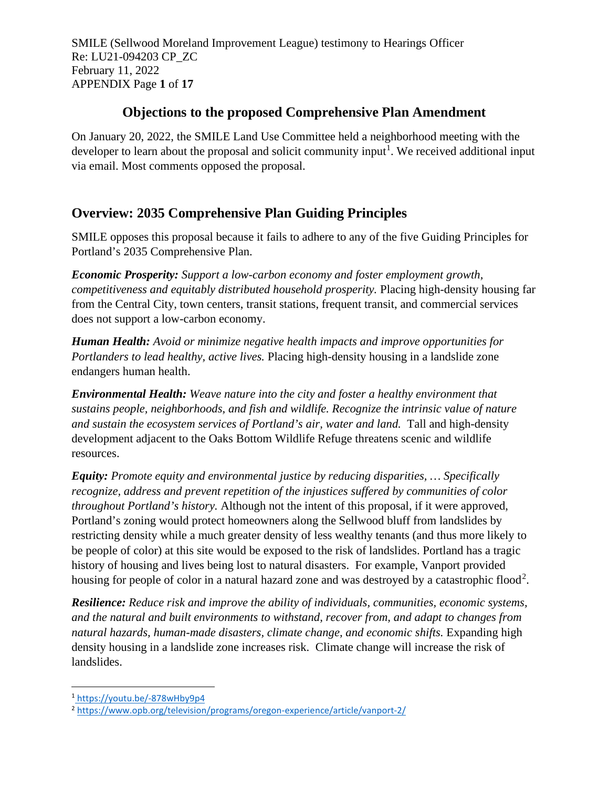SMILE (Sellwood Moreland Improvement League) testimony to Hearings Officer Re: LU21-094203 CP\_ZC February 11, 2022 APPENDIX Page **1** of **17**

# **Objections to the proposed Comprehensive Plan Amendment**

On January 20, 2022, the SMILE Land Use Committee held a neighborhood meeting with the developer to learn about the proposal and solicit community input<sup>[1](#page-6-0)</sup>. We received additional input via email. Most comments opposed the proposal.

# **Overview: 2035 Comprehensive Plan Guiding Principles**

SMILE opposes this proposal because it fails to adhere to any of the five Guiding Principles for Portland's 2035 Comprehensive Plan.

*Economic Prosperity: Support a low-carbon economy and foster employment growth, competitiveness and equitably distributed household prosperity.* Placing high-density housing far from the Central City, town centers, transit stations, frequent transit, and commercial services does not support a low-carbon economy.

*Human Health: Avoid or minimize negative health impacts and improve opportunities for Portlanders to lead healthy, active lives.* Placing high-density housing in a landslide zone endangers human health.

*Environmental Health: Weave nature into the city and foster a healthy environment that sustains people, neighborhoods, and fish and wildlife. Recognize the intrinsic value of nature and sustain the ecosystem services of Portland's air, water and land.* Tall and high-density development adjacent to the Oaks Bottom Wildlife Refuge threatens scenic and wildlife resources.

*Equity: Promote equity and environmental justice by reducing disparities, … Specifically recognize, address and prevent repetition of the injustices suffered by communities of color throughout Portland's history.* Although not the intent of this proposal, if it were approved, Portland's zoning would protect homeowners along the Sellwood bluff from landslides by restricting density while a much greater density of less wealthy tenants (and thus more likely to be people of color) at this site would be exposed to the risk of landslides. Portland has a tragic history of housing and lives being lost to natural disasters. For example, Vanport provided housing for people of color in a natural hazard zone and was destroyed by a catastrophic flood<sup>[2](#page-6-1)</sup>.

*Resilience: Reduce risk and improve the ability of individuals, communities, economic systems, and the natural and built environments to withstand, recover from, and adapt to changes from natural hazards, human-made disasters, climate change, and economic shifts.* Expanding high density housing in a landslide zone increases risk. Climate change will increase the risk of landslides.

<span id="page-6-0"></span><sup>1</sup> <https://youtu.be/-878wHby9p4>

<span id="page-6-1"></span><sup>2</sup> <https://www.opb.org/television/programs/oregon-experience/article/vanport-2/>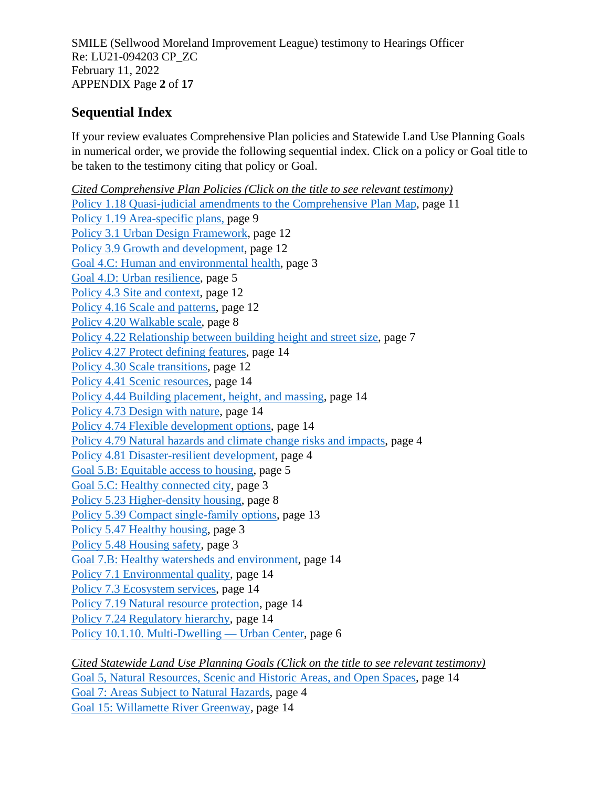SMILE (Sellwood Moreland Improvement League) testimony to Hearings Officer Re: LU21-094203 CP\_ZC February 11, 2022 APPENDIX Page **2** of **17**

# <span id="page-7-0"></span>**Sequential Index**

If your review evaluates Comprehensive Plan policies and Statewide Land Use Planning Goals in numerical order, we provide the following sequential index. Click on a policy or Goal title to be taken to the testimony citing that policy or Goal.

*Cited Comprehensive Plan Policies (Click on the title to see relevant testimony)* [Policy 1.18 Quasi-judicial amendments to the Comprehensive Plan Map,](#page-16-0) page 11 [Policy 1.19 Area-specific plans,](#page-14-0) page 9 [Policy 3.1 Urban Design Framework,](#page-17-0) page 12 [Policy 3.9 Growth and development,](#page-17-0) page 12 [Goal 4.C: Human and environmental health,](#page-8-0) page 3 [Goal 4.D: Urban resilience,](#page-10-0) page 5 [Policy 4.3 Site and context,](#page-17-0) page 12 [Policy 4.16 Scale and patterns,](#page-17-0) page 12 [Policy 4.20 Walkable scale,](#page-13-0) page 8 [Policy 4.22 Relationship between building height and street size,](#page-12-0) page 7 [Policy 4.27 Protect defining features,](#page-19-0) page 14 [Policy 4.30 Scale transitions,](#page-17-0) page 12 [Policy 4.41 Scenic resources,](#page-19-0) page 14 [Policy 4.44 Building placement, height, and massing,](#page-19-0) page 14 [Policy 4.73 Design with nature,](#page-19-0) page 14 [Policy 4.74 Flexible development options,](#page-19-0) page 14 [Policy 4.79 Natural hazards and climate change risks and impacts,](#page-9-0) page 4 [Policy 4.81 Disaster-resilient development,](#page-9-0) page 4 [Goal 5.B: Equitable access to housing,](#page-10-1) page 5 [Goal 5.C: Healthy connected city,](#page-8-0) page 3 [Policy 5.23 Higher-density housing,](#page-13-0) page 8 [Policy 5.39 Compact](#page-18-0) single-family options, page 13 [Policy 5.47 Healthy housing,](#page-8-0) page 3 [Policy 5.48 Housing safety,](#page-8-0) page 3 [Goal 7.B: Healthy watersheds and environment,](#page-19-0) page 14 [Policy 7.1 Environmental quality,](#page-19-0) page 14 [Policy 7.3 Ecosystem services,](#page-19-0) page 14 [Policy 7.19 Natural resource protection,](#page-19-0) page 14 [Policy 7.24 Regulatory hierarchy,](#page-19-0) page 14 [Policy 10.1.10. Multi-Dwelling —](#page-11-0) Urban Center, page 6

*Cited Statewide Land Use Planning Goals (Click on the title to see relevant testimony)* [Goal 5, Natural Resources, Scenic and Historic Areas, and Open Spaces,](#page-19-0) page 14 [Goal 7: Areas Subject to Natural Hazards,](#page-9-0) page 4 [Goal 15: Willamette River Greenway,](#page-19-0) page 14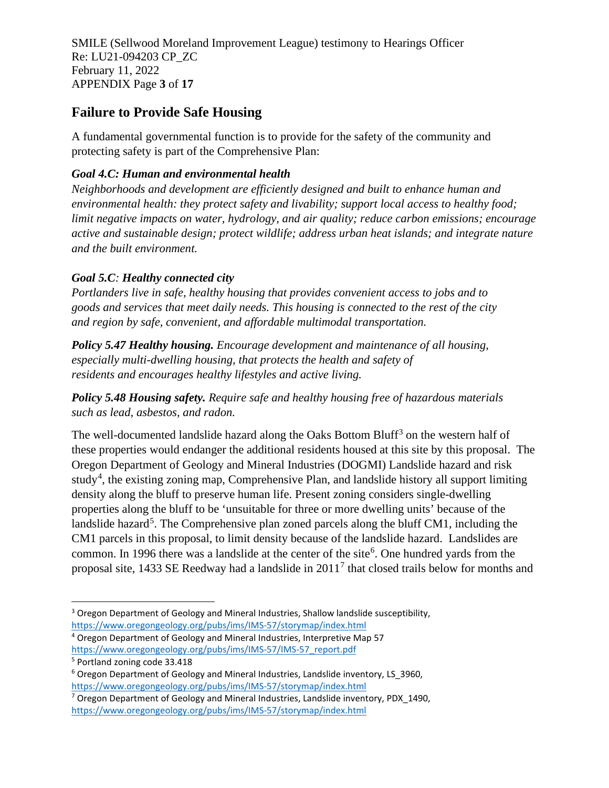SMILE (Sellwood Moreland Improvement League) testimony to Hearings Officer Re: LU21-094203 CP\_ZC February 11, 2022 APPENDIX Page **3** of **17**

# <span id="page-8-0"></span>**Failure to Provide Safe Housing**

A fundamental governmental function is to provide for the safety of the community and protecting safety is part of the Comprehensive Plan:

### *Goal 4.C: Human and environmental health*

*Neighborhoods and development are efficiently designed and built to enhance human and environmental health: they protect safety and livability; support local access to healthy food; limit negative impacts on water, hydrology, and air quality; reduce carbon emissions; encourage active and sustainable design; protect wildlife; address urban heat islands; and integrate nature and the built environment.*

## *Goal 5.C: Healthy connected city*

*Portlanders live in safe, healthy housing that provides convenient access to jobs and to goods and services that meet daily needs. This housing is connected to the rest of the city and region by safe, convenient, and affordable multimodal transportation.*

*Policy 5.47 Healthy housing. Encourage development and maintenance of all housing, especially multi-dwelling housing, that protects the health and safety of residents and encourages healthy lifestyles and active living.*

*Policy 5.48 Housing safety. Require safe and healthy housing free of hazardous materials such as lead, asbestos, and radon.*

The well-documented landslide hazard along the Oaks Bottom Bluff<sup>[3](#page-8-1)</sup> on the western half of these properties would endanger the additional residents housed at this site by this proposal. The Oregon Department of Geology and Mineral Industries (DOGMI) Landslide hazard and risk study<sup>[4](#page-8-2)</sup>, the existing zoning map, Comprehensive Plan, and landslide history all support limiting density along the bluff to preserve human life. Present zoning considers single-dwelling properties along the bluff to be 'unsuitable for three or more dwelling units' because of the landslide hazard<sup>[5](#page-8-3)</sup>. The Comprehensive plan zoned parcels along the bluff CM1, including the CM1 parcels in this proposal, to limit density because of the landslide hazard. Landslides are common. In 199[6](#page-8-4) there was a landslide at the center of the site<sup>6</sup>. One hundred yards from the proposal site, 1433 SE Reedway had a landslide in 2011[7](#page-8-5) that closed trails below for months and

<span id="page-8-1"></span><sup>&</sup>lt;sup>3</sup> Oregon Department of Geology and Mineral Industries, Shallow landslide susceptibility,

<https://www.oregongeology.org/pubs/ims/IMS-57/storymap/index.html>

<span id="page-8-2"></span><sup>4</sup> Oregon Department of Geology and Mineral Industries, Interpretive Map 57 [https://www.oregongeology.org/pubs/ims/IMS-57/IMS-57\\_report.pdf](https://www.oregongeology.org/pubs/ims/IMS-57/IMS-57_report.pdf)

<span id="page-8-3"></span><sup>5</sup> Portland zoning code 33.418

<span id="page-8-4"></span><sup>&</sup>lt;sup>6</sup> Oregon Department of Geology and Mineral Industries, Landslide inventory, LS 3960, <https://www.oregongeology.org/pubs/ims/IMS-57/storymap/index.html>

<span id="page-8-5"></span><sup>&</sup>lt;sup>7</sup> Oregon Department of Geology and Mineral Industries, Landslide inventory, PDX 1490, <https://www.oregongeology.org/pubs/ims/IMS-57/storymap/index.html>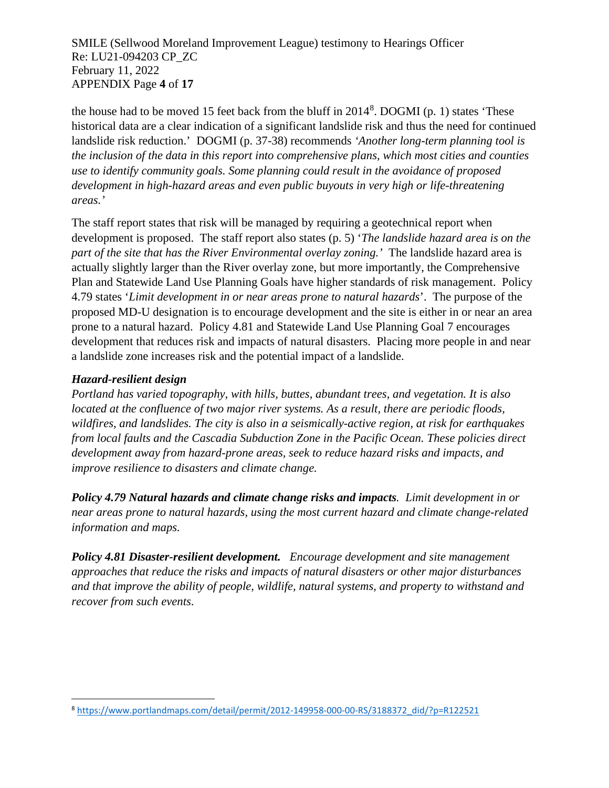#### SMILE (Sellwood Moreland Improvement League) testimony to Hearings Officer Re: LU21-094203 CP\_ZC February 11, 2022 APPENDIX Page **4** of **17**

the house had to be moved 15 feet back from the bluff in 2014<sup>[8](#page-9-1)</sup>. DOGMI (p. 1) states 'These historical data are a clear indication of a significant landslide risk and thus the need for continued landslide risk reduction.' DOGMI (p. 37-38) recommends *'Another long-term planning tool is the inclusion of the data in this report into comprehensive plans, which most cities and counties use to identify community goals. Some planning could result in the avoidance of proposed development in high-hazard areas and even public buyouts in very high or life-threatening areas.'*

<span id="page-9-0"></span>The staff report states that risk will be managed by requiring a geotechnical report when development is proposed. The staff report also states (p. 5) '*The landslide hazard area is on the part of the site that has the River Environmental overlay zoning.'* The landslide hazard area is actually slightly larger than the River overlay zone, but more importantly, the Comprehensive Plan and Statewide Land Use Planning Goals have higher standards of risk management. Policy 4.79 states '*Limit development in or near areas prone to natural hazards*'. The purpose of the proposed MD-U designation is to encourage development and the site is either in or near an area prone to a natural hazard. Policy 4.81 and Statewide Land Use Planning Goal 7 encourages development that reduces risk and impacts of natural disasters. Placing more people in and near a landslide zone increases risk and the potential impact of a landslide.

#### *Hazard-resilient design*

*Portland has varied topography, with hills, buttes, abundant trees, and vegetation. It is also located at the confluence of two major river systems. As a result, there are periodic floods, wildfires, and landslides. The city is also in a seismically-active region, at risk for earthquakes from local faults and the Cascadia Subduction Zone in the Pacific Ocean. These policies direct development away from hazard-prone areas, seek to reduce hazard risks and impacts, and improve resilience to disasters and climate change.*

*Policy 4.79 Natural hazards and climate change risks and impacts. Limit development in or near areas prone to natural hazards, using the most current hazard and climate change-related information and maps.*

*Policy 4.81 Disaster-resilient development. Encourage development and site management approaches that reduce the risks and impacts of natural disasters or other major disturbances and that improve the ability of people, wildlife, natural systems, and property to withstand and recover from such events.*

<span id="page-9-1"></span><sup>8</sup> [https://www.portlandmaps.com/detail/permit/2012-149958-000-00-RS/3188372\\_did/?p=R122521](https://www.portlandmaps.com/detail/permit/2012-149958-000-00-RS/3188372_did/?p=R122521)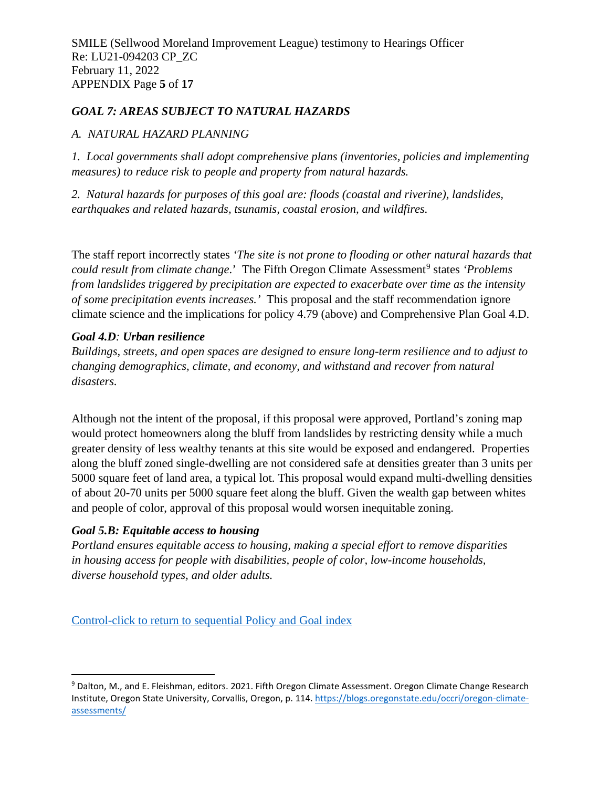#### *GOAL 7: AREAS SUBJECT TO NATURAL HAZARDS*

#### *A. NATURAL HAZARD PLANNING*

*1. Local governments shall adopt comprehensive plans (inventories, policies and implementing measures) to reduce risk to people and property from natural hazards.*

*2. Natural hazards for purposes of this goal are: floods (coastal and riverine), landslides, earthquakes and related hazards, tsunamis, coastal erosion, and wildfires.*

<span id="page-10-0"></span>The staff report incorrectly states *'The site is not prone to flooding or other natural hazards that could result from climate change.*' The Fifth Oregon Climate Assessment<sup>[9](#page-10-2)</sup> states *'Problems from landslides triggered by precipitation are expected to exacerbate over time as the intensity of some precipitation events increases.'* This proposal and the staff recommendation ignore climate science and the implications for policy 4.79 (above) and Comprehensive Plan Goal 4.D.

#### *Goal 4.D: Urban resilience*

*Buildings, streets, and open spaces are designed to ensure long-term resilience and to adjust to changing demographics, climate, and economy, and withstand and recover from natural disasters.*

<span id="page-10-1"></span>Although not the intent of the proposal, if this proposal were approved, Portland's zoning map would protect homeowners along the bluff from landslides by restricting density while a much greater density of less wealthy tenants at this site would be exposed and endangered. Properties along the bluff zoned single-dwelling are not considered safe at densities greater than 3 units per 5000 square feet of land area, a typical lot. This proposal would expand multi-dwelling densities of about 20-70 units per 5000 square feet along the bluff. Given the wealth gap between whites and people of color, approval of this proposal would worsen inequitable zoning.

## *Goal 5.B: Equitable access to housing*

*Portland ensures equitable access to housing, making a special effort to remove disparities in housing access for people with disabilities, people of color, low-income households, diverse household types, and older adults.*

[Control-click to return to sequential Policy and Goal index](#page-7-0)

<span id="page-10-2"></span><sup>9</sup> Dalton, M., and E. Fleishman, editors. 2021. Fifth Oregon Climate Assessment. Oregon Climate Change Research Institute, Oregon State University, Corvallis, Oregon, p. 114[. https://blogs.oregonstate.edu/occri/oregon-climate](https://blogs.oregonstate.edu/occri/oregon-climate-assessments/)[assessments/](https://blogs.oregonstate.edu/occri/oregon-climate-assessments/)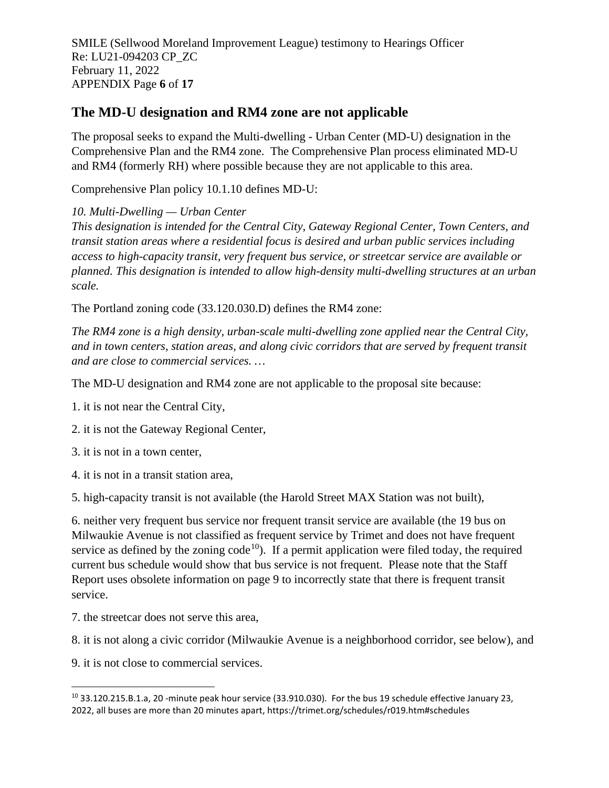SMILE (Sellwood Moreland Improvement League) testimony to Hearings Officer Re: LU21-094203 CP\_ZC February 11, 2022 APPENDIX Page **6** of **17**

## **The MD-U designation and RM4 zone are not applicable**

The proposal seeks to expand the Multi-dwelling - Urban Center (MD-U) designation in the Comprehensive Plan and the RM4 zone. The Comprehensive Plan process eliminated MD-U and RM4 (formerly RH) where possible because they are not applicable to this area.

<span id="page-11-0"></span>Comprehensive Plan policy 10.1.10 defines MD-U:

*10. Multi-Dwelling — Urban Center*

*This designation is intended for the Central City, Gateway Regional Center, Town Centers, and transit station areas where a residential focus is desired and urban public services including access to high-capacity transit, very frequent bus service, or streetcar service are available or planned. This designation is intended to allow high-density multi-dwelling structures at an urban scale.*

The Portland zoning code (33.120.030.D) defines the RM4 zone:

*The RM4 zone is a high density, urban-scale multi-dwelling zone applied near the Central City, and in town centers, station areas, and along civic corridors that are served by frequent transit and are close to commercial services. …*

The MD-U designation and RM4 zone are not applicable to the proposal site because:

1. it is not near the Central City,

2. it is not the Gateway Regional Center,

3. it is not in a town center,

4. it is not in a transit station area,

5. high-capacity transit is not available (the Harold Street MAX Station was not built),

6. neither very frequent bus service nor frequent transit service are available (the 19 bus on Milwaukie Avenue is not classified as frequent service by Trimet and does not have frequent service as defined by the zoning code<sup>10</sup>). If a permit application were filed today, the required current bus schedule would show that bus service is not frequent. Please note that the Staff Report uses obsolete information on page 9 to incorrectly state that there is frequent transit service.

7. the streetcar does not serve this area,

8. it is not along a civic corridor (Milwaukie Avenue is a neighborhood corridor, see below), and

9. it is not close to commercial services.

<span id="page-11-1"></span><sup>10</sup> 33.120.215.B.1.a, 20 -minute peak hour service (33.910.030). For the bus 19 schedule effective January 23, 2022, all buses are more than 20 minutes apart, https://trimet.org/schedules/r019.htm#schedules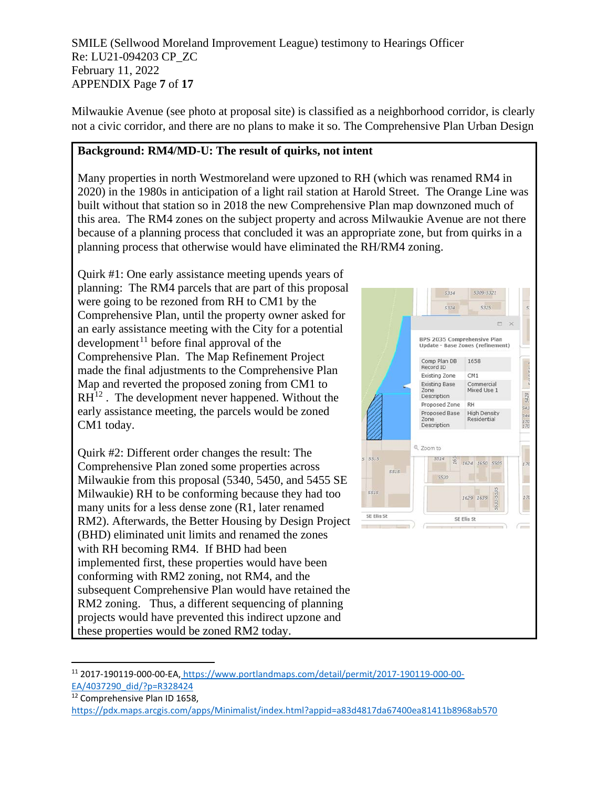SMILE (Sellwood Moreland Improvement League) testimony to Hearings Officer Re: LU21-094203 CP\_ZC February 11, 2022 APPENDIX Page **7** of **17**

Milwaukie Avenue (see photo at proposal site) is classified as a neighborhood corridor, is clearly not a civic corridor, and there are no plans to make it so. The Comprehensive Plan Urban Design

### <span id="page-12-0"></span>**Background: RM4/MD-U: The result of quirks, not intent**

Many properties in north Westmoreland were upzoned to RH (which was renamed RM4 in 2020) in the 1980s in anticipation of a light rail station at Harold Street. The Orange Line was built without that station so in 2018 the new Comprehensive Plan map downzoned much of this area. The RM4 zones on the subject property and across Milwaukie Avenue are not there because of a planning process that concluded it was an appropriate zone, but from quirks in a planning process that otherwise would have eliminated the RH/RM4 zoning.

Quirk #1: One early assistance meeting upends years of planning: The RM4 parcels that are part of this proposal were going to be rezoned from RH to CM1 by the Comprehensive Plan, until the property owner asked for an early assistance meeting with the City for a potential development<sup>[11](#page-12-1)</sup> before final approval of the Comprehensive Plan. The Map Refinement Project made the final adjustments to the Comprehensive Plan Map and reverted the proposed zoning from CM1 to  $RH^{12}$  $RH^{12}$  $RH^{12}$ . The development never happened. Without the early assistance meeting, the parcels would be zoned CM1 today.

Quirk #2: Different order changes the result: The Comprehensive Plan zoned some properties across Milwaukie from this proposal (5340, 5450, and 5455 SE Milwaukie) RH to be conforming because they had too many units for a less dense zone (R1, later renamed RM2). Afterwards, the Better Housing by Design Project (BHD) eliminated unit limits and renamed the zones with RH becoming RM4. If BHD had been implemented first, these properties would have been conforming with RM2 zoning, not RM4, and the subsequent Comprehensive Plan would have retained the RM2 zoning. Thus, a different sequencing of planning projects would have prevented this indirect upzone and these properties would be zoned RM2 today.



<span id="page-12-2"></span><sup>12</sup> Comprehensive Plan ID 1658,

<span id="page-12-1"></span><sup>11</sup> 2017-190119-000-00-EA, [https://www.portlandmaps.com/detail/permit/2017-190119-000-00-](https://www.portlandmaps.com/detail/permit/2017-190119-000-00-EA/4037290_did/?p=R328424) [EA/4037290\\_did/?p=R328424](https://www.portlandmaps.com/detail/permit/2017-190119-000-00-EA/4037290_did/?p=R328424)

<https://pdx.maps.arcgis.com/apps/Minimalist/index.html?appid=a83d4817da67400ea81411b8968ab570>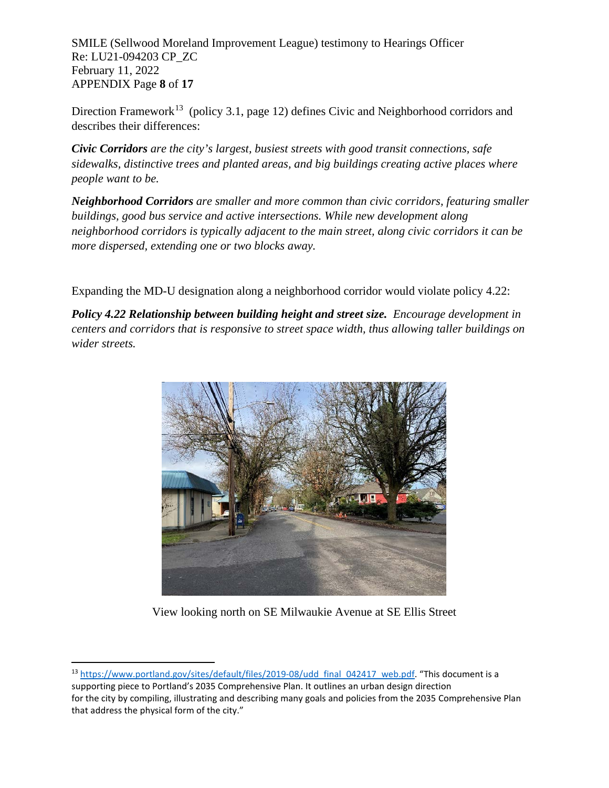SMILE (Sellwood Moreland Improvement League) testimony to Hearings Officer Re: LU21-094203 CP\_ZC February 11, 2022 APPENDIX Page **8** of **17**

Direction Framework<sup>[13](#page-13-1)</sup> (policy 3.1, page 12) defines Civic and Neighborhood corridors and describes their differences:

*Civic Corridors are the city's largest, busiest streets with good transit connections, safe sidewalks, distinctive trees and planted areas, and big buildings creating active places where people want to be.*

*Neighborhood Corridors are smaller and more common than civic corridors, featuring smaller buildings, good bus service and active intersections. While new development along neighborhood corridors is typically adjacent to the main street, along civic corridors it can be more dispersed, extending one or two blocks away.*

Expanding the MD-U designation along a neighborhood corridor would violate policy 4.22:

<span id="page-13-0"></span>*Policy 4.22 Relationship between building height and street size. Encourage development in centers and corridors that is responsive to street space width, thus allowing taller buildings on wider streets.*



View looking north on SE Milwaukie Avenue at SE Ellis Street

<span id="page-13-1"></span><sup>&</sup>lt;sup>13</sup> [https://www.portland.gov/sites/default/files/2019-08/udd\\_final\\_042417\\_web.pdf.](https://www.portland.gov/sites/default/files/2019-08/udd_final_042417_web.pdf) "This document is a supporting piece to Portland's 2035 Comprehensive Plan. It outlines an urban design direction for the city by compiling, illustrating and describing many goals and policies from the 2035 Comprehensive Plan that address the physical form of the city."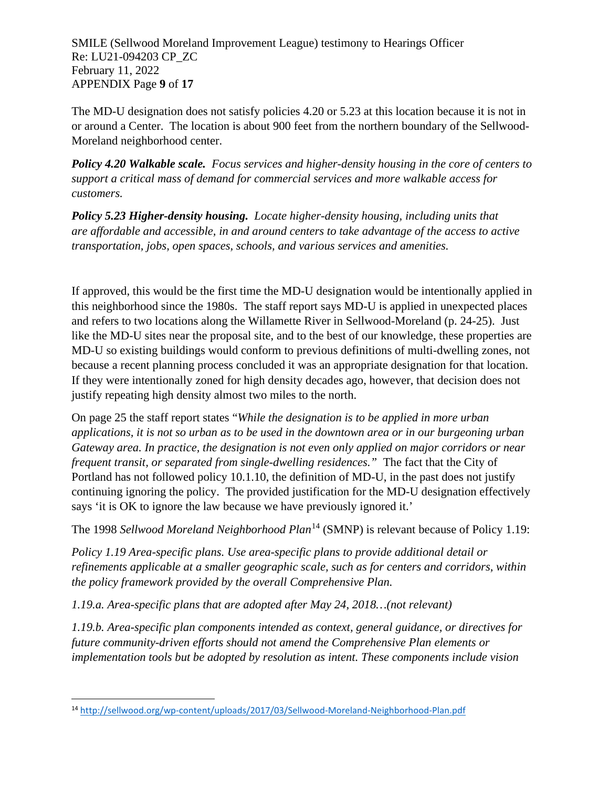SMILE (Sellwood Moreland Improvement League) testimony to Hearings Officer Re: LU21-094203 CP\_ZC February 11, 2022 APPENDIX Page **9** of **17**

The MD-U designation does not satisfy policies 4.20 or 5.23 at this location because it is not in or around a Center. The location is about 900 feet from the northern boundary of the Sellwood-Moreland neighborhood center.

*Policy 4.20 Walkable scale. Focus services and higher-density housing in the core of centers to support a critical mass of demand for commercial services and more walkable access for customers.*

*Policy 5.23 Higher-density housing. Locate higher-density housing, including units that are affordable and accessible, in and around centers to take advantage of the access to active transportation, jobs, open spaces, schools, and various services and amenities.*

If approved, this would be the first time the MD-U designation would be intentionally applied in this neighborhood since the 1980s. The staff report says MD-U is applied in unexpected places and refers to two locations along the Willamette River in Sellwood-Moreland (p. 24-25). Just like the MD-U sites near the proposal site, and to the best of our knowledge, these properties are MD-U so existing buildings would conform to previous definitions of multi-dwelling zones, not because a recent planning process concluded it was an appropriate designation for that location. If they were intentionally zoned for high density decades ago, however, that decision does not justify repeating high density almost two miles to the north.

On page 25 the staff report states "*While the designation is to be applied in more urban applications, it is not so urban as to be used in the downtown area or in our burgeoning urban Gateway area. In practice, the designation is not even only applied on major corridors or near frequent transit, or separated from single-dwelling residences."* The fact that the City of Portland has not followed policy 10.1.10, the definition of MD-U, in the past does not justify continuing ignoring the policy. The provided justification for the MD-U designation effectively says 'it is OK to ignore the law because we have previously ignored it.'

<span id="page-14-0"></span>The 1998 *Sellwood Moreland Neighborhood Plan*[14](#page-14-1) (SMNP) is relevant because of Policy 1.19:

*Policy 1.19 Area-specific plans. Use area-specific plans to provide additional detail or refinements applicable at a smaller geographic scale, such as for centers and corridors, within the policy framework provided by the overall Comprehensive Plan.*

*1.19.a. Area-specific plans that are adopted after May 24, 2018…(not relevant)*

*1.19.b. Area-specific plan components intended as context, general guidance, or directives for future community-driven efforts should not amend the Comprehensive Plan elements or implementation tools but be adopted by resolution as intent. These components include vision*

<span id="page-14-1"></span><sup>14</sup> <http://sellwood.org/wp-content/uploads/2017/03/Sellwood-Moreland-Neighborhood-Plan.pdf>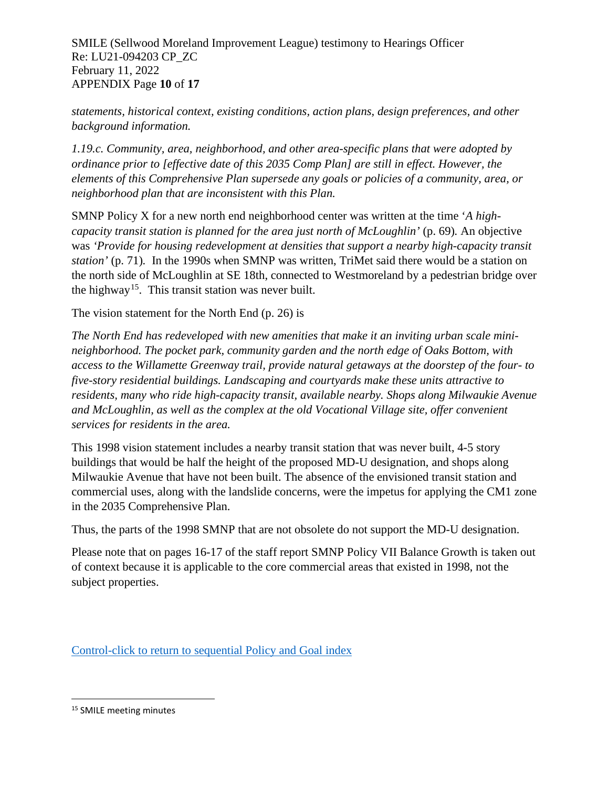SMILE (Sellwood Moreland Improvement League) testimony to Hearings Officer Re: LU21-094203 CP\_ZC February 11, 2022 APPENDIX Page **10** of **17**

*statements, historical context, existing conditions, action plans, design preferences, and other background information.*

*1.19.c. Community, area, neighborhood, and other area-specific plans that were adopted by ordinance prior to [effective date of this 2035 Comp Plan] are still in effect. However, the elements of this Comprehensive Plan supersede any goals or policies of a community, area, or neighborhood plan that are inconsistent with this Plan.*

SMNP Policy X for a new north end neighborhood center was written at the time '*A highcapacity transit station is planned for the area just north of McLoughlin'* (p. 69)*.* An objective was *'Provide for housing redevelopment at densities that support a nearby high-capacity transit station'* (p. 71)*.* In the 1990s when SMNP was written, TriMet said there would be a station on the north side of McLoughlin at SE 18th, connected to Westmoreland by a pedestrian bridge over the highway<sup>15</sup>. This transit station was never built.

The vision statement for the North End (p. 26) is

*The North End has redeveloped with new amenities that make it an inviting urban scale minineighborhood. The pocket park, community garden and the north edge of Oaks Bottom, with access to the Willamette Greenway trail, provide natural getaways at the doorstep of the four- to five-story residential buildings. Landscaping and courtyards make these units attractive to residents, many who ride high-capacity transit, available nearby. Shops along Milwaukie Avenue and McLoughlin, as well as the complex at the old Vocational Village site, offer convenient services for residents in the area.*

This 1998 vision statement includes a nearby transit station that was never built, 4-5 story buildings that would be half the height of the proposed MD-U designation, and shops along Milwaukie Avenue that have not been built. The absence of the envisioned transit station and commercial uses, along with the landslide concerns, were the impetus for applying the CM1 zone in the 2035 Comprehensive Plan.

Thus, the parts of the 1998 SMNP that are not obsolete do not support the MD-U designation.

Please note that on pages 16-17 of the staff report SMNP Policy VII Balance Growth is taken out of context because it is applicable to the core commercial areas that existed in 1998, not the subject properties.

[Control-click to return to sequential Policy and Goal index](#page-7-0)

<span id="page-15-0"></span><sup>15</sup> SMILE meeting minutes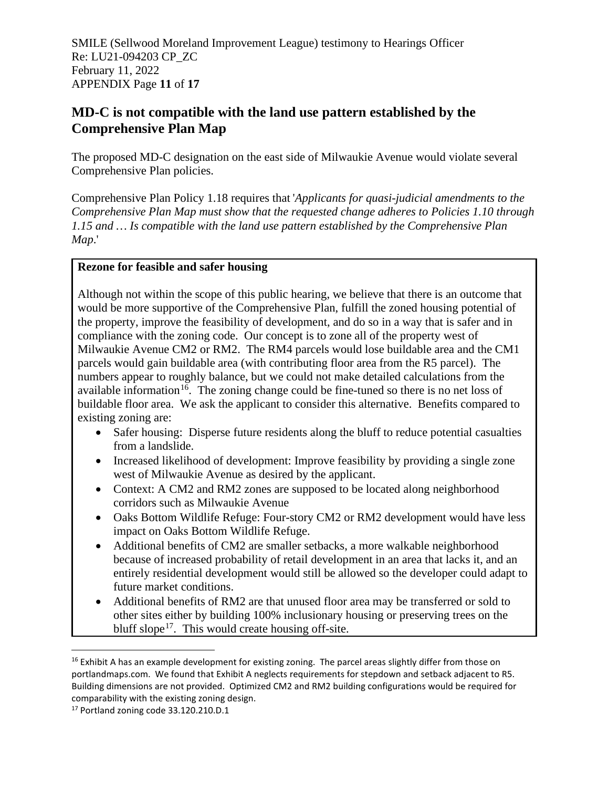SMILE (Sellwood Moreland Improvement League) testimony to Hearings Officer Re: LU21-094203 CP\_ZC February 11, 2022 APPENDIX Page **11** of **17**

# **MD-C is not compatible with the land use pattern established by the Comprehensive Plan Map**

<span id="page-16-0"></span>The proposed MD-C designation on the east side of Milwaukie Avenue would violate several Comprehensive Plan policies.

Comprehensive Plan Policy 1.18 requires that '*Applicants for quasi-judicial amendments to the Comprehensive Plan Map must show that the requested change adheres to Policies 1.10 through 1.15 and … Is compatible with the land use pattern established by the Comprehensive Plan Map*.'

#### **Rezone for feasible and safer housing**

Although not within the scope of this public hearing, we believe that there is an outcome that would be more supportive of the Comprehensive Plan, fulfill the zoned housing potential of the property, improve the feasibility of development, and do so in a way that is safer and in compliance with the zoning code. Our concept is to zone all of the property west of Milwaukie Avenue CM2 or RM2. The RM4 parcels would lose buildable area and the CM1 parcels would gain buildable area (with contributing floor area from the R5 parcel). The numbers appear to roughly balance, but we could not make detailed calculations from the available information<sup>16</sup>. The zoning change could be fine-tuned so there is no net loss of buildable floor area. We ask the applicant to consider this alternative. Benefits compared to existing zoning are:

- Safer housing: Disperse future residents along the bluff to reduce potential casualties from a landslide.
- Increased likelihood of development: Improve feasibility by providing a single zone west of Milwaukie Avenue as desired by the applicant.
- Context: A CM2 and RM2 zones are supposed to be located along neighborhood corridors such as Milwaukie Avenue
- Oaks Bottom Wildlife Refuge: Four-story CM2 or RM2 development would have less impact on Oaks Bottom Wildlife Refuge.
- Additional benefits of CM2 are smaller setbacks, a more walkable neighborhood because of increased probability of retail development in an area that lacks it, and an entirely residential development would still be allowed so the developer could adapt to future market conditions.
- Additional benefits of RM2 are that unused floor area may be transferred or sold to other sites either by building 100% inclusionary housing or preserving trees on the bluff slope<sup>[17](#page-16-2)</sup>. This would create housing off-site.

<span id="page-16-1"></span> $16$  Exhibit A has an example development for existing zoning. The parcel areas slightly differ from those on portlandmaps.com. We found that Exhibit A neglects requirements for stepdown and setback adjacent to R5. Building dimensions are not provided. Optimized CM2 and RM2 building configurations would be required for comparability with the existing zoning design.

<span id="page-16-2"></span><sup>17</sup> Portland zoning code 33.120.210.D.1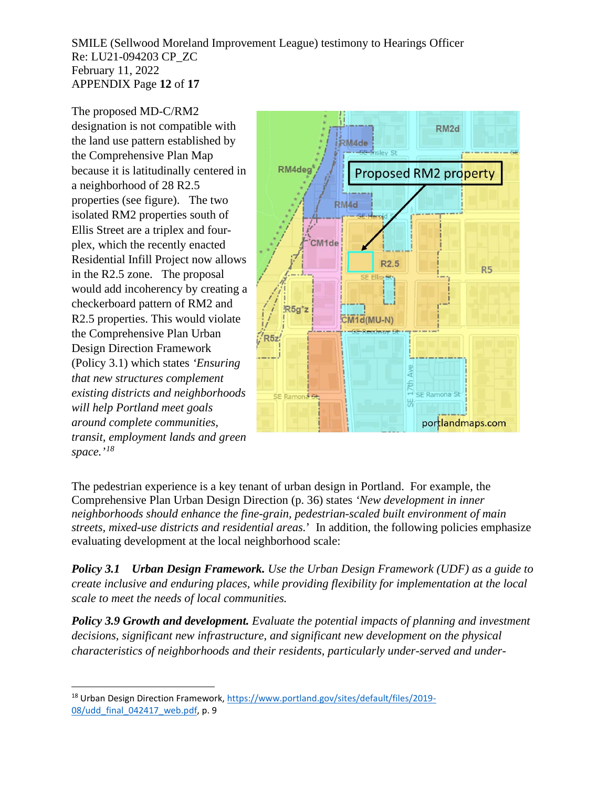SMILE (Sellwood Moreland Improvement League) testimony to Hearings Officer Re: LU21-094203 CP\_ZC February 11, 2022 APPENDIX Page **12** of **17**

The proposed MD-C/RM2

designation is not compatible with the land use pattern established by the Comprehensive Plan Map because it is latitudinally centered in a neighborhood of 28 R2.5 properties (see figure). The two isolated RM2 properties south of Ellis Street are a triplex and fourplex, which the recently enacted Residential Infill Project now allows in the R2.5 zone. The proposal would add incoherency by creating a checkerboard pattern of RM2 and R2.5 properties. This would violate the Comprehensive Plan Urban Design Direction Framework (Policy 3.1) which states *'Ensuring that new structures complement existing districts and neighborhoods will help Portland meet goals around complete communities, transit, employment lands and green space.'[18](#page-17-1)*



<span id="page-17-0"></span>The pedestrian experience is a key tenant of urban design in Portland. For example, the Comprehensive Plan Urban Design Direction (p. 36) states *'New development in inner neighborhoods should enhance the fine-grain, pedestrian-scaled built environment of main streets, mixed-use districts and residential areas.*' In addition, the following policies emphasize evaluating development at the local neighborhood scale:

*Policy 3.1 Urban Design Framework. Use the Urban Design Framework (UDF) as a guide to create inclusive and enduring places, while providing flexibility for implementation at the local scale to meet the needs of local communities.*

*Policy 3.9 Growth and development. Evaluate the potential impacts of planning and investment decisions, significant new infrastructure, and significant new development on the physical characteristics of neighborhoods and their residents, particularly under-served and under-*

<span id="page-17-1"></span><sup>18</sup> Urban Design Direction Framework[, https://www.portland.gov/sites/default/files/2019-](https://www.portland.gov/sites/default/files/2019-08/udd_final_042417_web.pdf) [08/udd\\_final\\_042417\\_web.pdf,](https://www.portland.gov/sites/default/files/2019-08/udd_final_042417_web.pdf) p. 9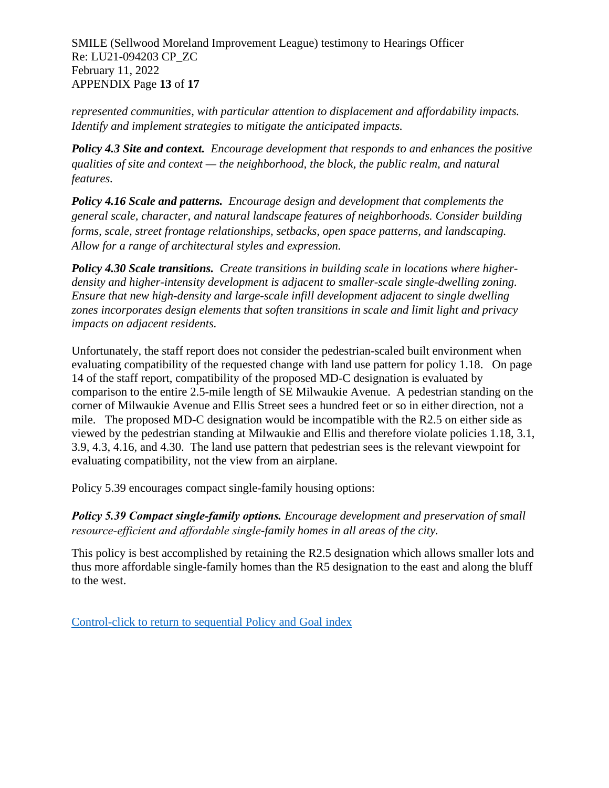SMILE (Sellwood Moreland Improvement League) testimony to Hearings Officer Re: LU21-094203 CP\_ZC February 11, 2022 APPENDIX Page **13** of **17**

*represented communities, with particular attention to displacement and affordability impacts. Identify and implement strategies to mitigate the anticipated impacts.*

*Policy 4.3 Site and context. Encourage development that responds to and enhances the positive qualities of site and context — the neighborhood, the block, the public realm, and natural features.* 

*Policy 4.16 Scale and patterns. Encourage design and development that complements the general scale, character, and natural landscape features of neighborhoods. Consider building forms, scale, street frontage relationships, setbacks, open space patterns, and landscaping. Allow for a range of architectural styles and expression.*

*Policy 4.30 Scale transitions. Create transitions in building scale in locations where higherdensity and higher-intensity development is adjacent to smaller-scale single-dwelling zoning. Ensure that new high-density and large-scale infill development adjacent to single dwelling zones incorporates design elements that soften transitions in scale and limit light and privacy impacts on adjacent residents.*

Unfortunately, the staff report does not consider the pedestrian-scaled built environment when evaluating compatibility of the requested change with land use pattern for policy 1.18. On page 14 of the staff report, compatibility of the proposed MD-C designation is evaluated by comparison to the entire 2.5-mile length of SE Milwaukie Avenue. A pedestrian standing on the corner of Milwaukie Avenue and Ellis Street sees a hundred feet or so in either direction, not a mile. The proposed MD-C designation would be incompatible with the R2.5 on either side as viewed by the pedestrian standing at Milwaukie and Ellis and therefore violate policies 1.18, 3.1, 3.9, 4.3, 4.16, and 4.30. The land use pattern that pedestrian sees is the relevant viewpoint for evaluating compatibility, not the view from an airplane.

<span id="page-18-0"></span>Policy 5.39 encourages compact single-family housing options:

*Policy 5.39 Compact single‐family options. Encourage development and preservation of small resource‐efficient and affordable single-family homes in all areas of the city.*

This policy is best accomplished by retaining the R2.5 designation which allows smaller lots and thus more affordable single-family homes than the R5 designation to the east and along the bluff to the west.

[Control-click to return to sequential Policy and Goal index](#page-7-0)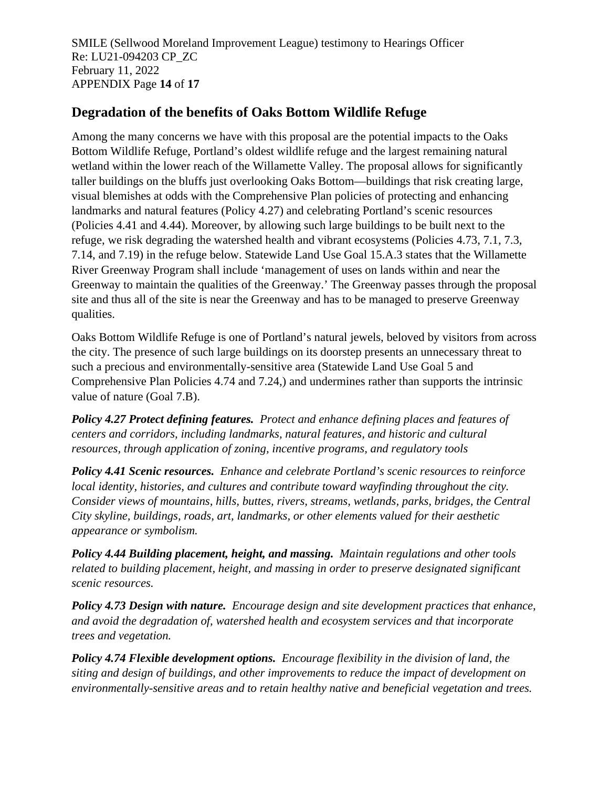SMILE (Sellwood Moreland Improvement League) testimony to Hearings Officer Re: LU21-094203 CP\_ZC February 11, 2022 APPENDIX Page **14** of **17**

# **Degradation of the benefits of Oaks Bottom Wildlife Refuge**

<span id="page-19-0"></span>Among the many concerns we have with this proposal are the potential impacts to the Oaks Bottom Wildlife Refuge, Portland's oldest wildlife refuge and the largest remaining natural wetland within the lower reach of the Willamette Valley. The proposal allows for significantly taller buildings on the bluffs just overlooking Oaks Bottom—buildings that risk creating large, visual blemishes at odds with the Comprehensive Plan policies of protecting and enhancing landmarks and natural features (Policy 4.27) and celebrating Portland's scenic resources (Policies 4.41 and 4.44). Moreover, by allowing such large buildings to be built next to the refuge, we risk degrading the watershed health and vibrant ecosystems (Policies 4.73, 7.1, 7.3, 7.14, and 7.19) in the refuge below. Statewide Land Use Goal 15.A.3 states that the Willamette River Greenway Program shall include 'management of uses on lands within and near the Greenway to maintain the qualities of the Greenway.' The Greenway passes through the proposal site and thus all of the site is near the Greenway and has to be managed to preserve Greenway qualities.

Oaks Bottom Wildlife Refuge is one of Portland's natural jewels, beloved by visitors from across the city. The presence of such large buildings on its doorstep presents an unnecessary threat to such a precious and environmentally-sensitive area (Statewide Land Use Goal 5 and Comprehensive Plan Policies 4.74 and 7.24,) and undermines rather than supports the intrinsic value of nature (Goal 7.B).

*Policy 4.27 Protect defining features. Protect and enhance defining places and features of centers and corridors, including landmarks, natural features, and historic and cultural resources, through application of zoning, incentive programs, and regulatory tools*

*Policy 4.41 Scenic resources. Enhance and celebrate Portland's scenic resources to reinforce local identity, histories, and cultures and contribute toward wayfinding throughout the city. Consider views of mountains, hills, buttes, rivers, streams, wetlands, parks, bridges, the Central City skyline, buildings, roads, art, landmarks, or other elements valued for their aesthetic appearance or symbolism.*

*Policy 4.44 Building placement, height, and massing. Maintain regulations and other tools related to building placement, height, and massing in order to preserve designated significant scenic resources.*

*Policy 4.73 Design with nature. Encourage design and site development practices that enhance, and avoid the degradation of, watershed health and ecosystem services and that incorporate trees and vegetation.*

*Policy 4.74 Flexible development options. Encourage flexibility in the division of land, the siting and design of buildings, and other improvements to reduce the impact of development on environmentally-sensitive areas and to retain healthy native and beneficial vegetation and trees.*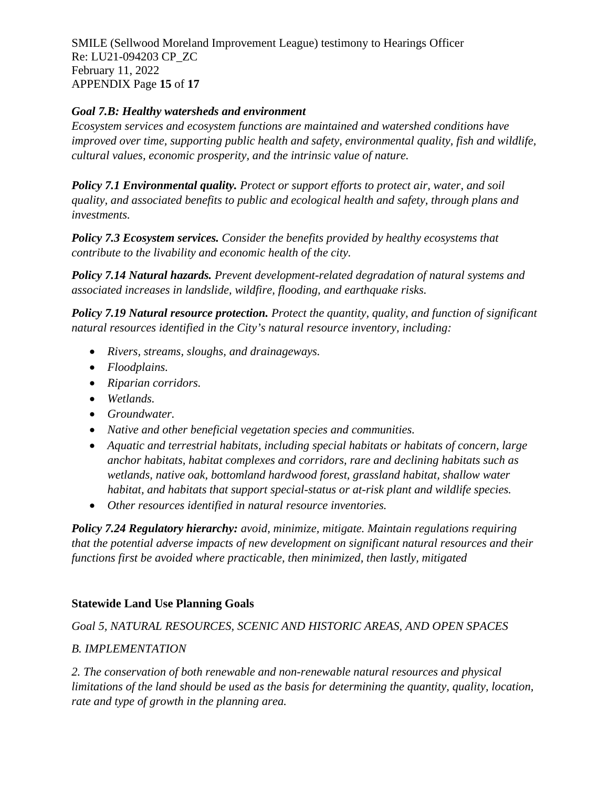SMILE (Sellwood Moreland Improvement League) testimony to Hearings Officer Re: LU21-094203 CP\_ZC February 11, 2022 APPENDIX Page **15** of **17**

### *Goal 7.B: Healthy watersheds and environment*

*Ecosystem services and ecosystem functions are maintained and watershed conditions have improved over time, supporting public health and safety, environmental quality, fish and wildlife, cultural values, economic prosperity, and the intrinsic value of nature.* 

*Policy 7.1 Environmental quality. Protect or support efforts to protect air, water, and soil quality, and associated benefits to public and ecological health and safety, through plans and investments.* 

*Policy 7.3 Ecosystem services. Consider the benefits provided by healthy ecosystems that contribute to the livability and economic health of the city.*

*Policy 7.14 Natural hazards. Prevent development-related degradation of natural systems and associated increases in landslide, wildfire, flooding, and earthquake risks.*

*Policy 7.19 Natural resource protection. Protect the quantity, quality, and function of significant natural resources identified in the City's natural resource inventory, including:*

- *Rivers, streams, sloughs, and drainageways.*
- *Floodplains.*
- *Riparian corridors.*
- *Wetlands.*
- *Groundwater.*
- *Native and other beneficial vegetation species and communities.*
- *Aquatic and terrestrial habitats, including special habitats or habitats of concern, large anchor habitats, habitat complexes and corridors, rare and declining habitats such as wetlands, native oak, bottomland hardwood forest, grassland habitat, shallow water habitat, and habitats that support special-status or at-risk plant and wildlife species.*
- *Other resources identified in natural resource inventories.*

*Policy 7.24 Regulatory hierarchy: avoid, minimize, mitigate. Maintain regulations requiring that the potential adverse impacts of new development on significant natural resources and their functions first be avoided where practicable, then minimized, then lastly, mitigated* 

## **Statewide Land Use Planning Goals**

*Goal 5, NATURAL RESOURCES, SCENIC AND HISTORIC AREAS, AND OPEN SPACES*

## *B. IMPLEMENTATION*

*2. The conservation of both renewable and non-renewable natural resources and physical limitations of the land should be used as the basis for determining the quantity, quality, location, rate and type of growth in the planning area.*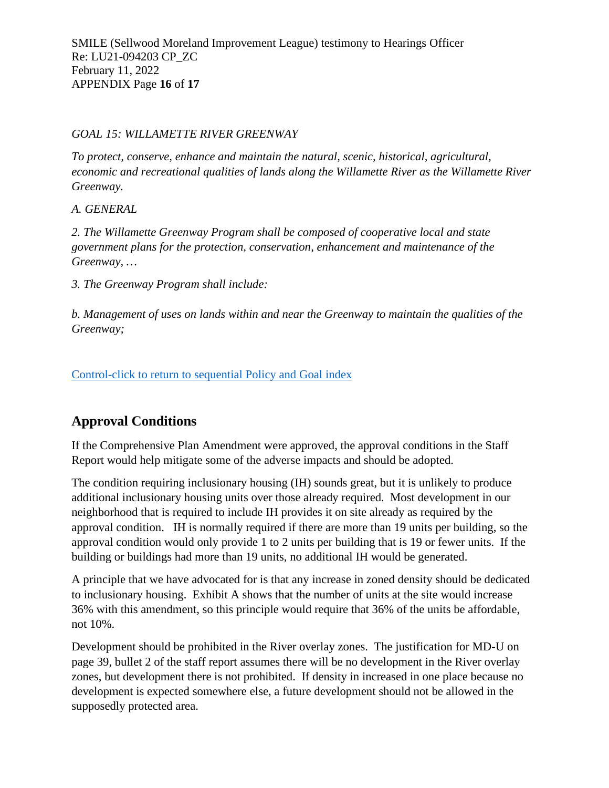#### *GOAL 15: WILLAMETTE RIVER GREENWAY*

*To protect, conserve, enhance and maintain the natural, scenic, historical, agricultural, economic and recreational qualities of lands along the Willamette River as the Willamette River Greenway.*

*A. GENERAL*

*2. The Willamette Greenway Program shall be composed of cooperative local and state government plans for the protection, conservation, enhancement and maintenance of the Greenway, …*

*3. The Greenway Program shall include:*

*b. Management of uses on lands within and near the Greenway to maintain the qualities of the Greenway;*

[Control-click to return to sequential Policy and Goal index](#page-7-0)

# **Approval Conditions**

If the Comprehensive Plan Amendment were approved, the approval conditions in the Staff Report would help mitigate some of the adverse impacts and should be adopted.

The condition requiring inclusionary housing (IH) sounds great, but it is unlikely to produce additional inclusionary housing units over those already required. Most development in our neighborhood that is required to include IH provides it on site already as required by the approval condition. IH is normally required if there are more than 19 units per building, so the approval condition would only provide 1 to 2 units per building that is 19 or fewer units. If the building or buildings had more than 19 units, no additional IH would be generated.

A principle that we have advocated for is that any increase in zoned density should be dedicated to inclusionary housing. Exhibit A shows that the number of units at the site would increase 36% with this amendment, so this principle would require that 36% of the units be affordable, not 10%.

Development should be prohibited in the River overlay zones. The justification for MD-U on page 39, bullet 2 of the staff report assumes there will be no development in the River overlay zones, but development there is not prohibited. If density in increased in one place because no development is expected somewhere else, a future development should not be allowed in the supposedly protected area.